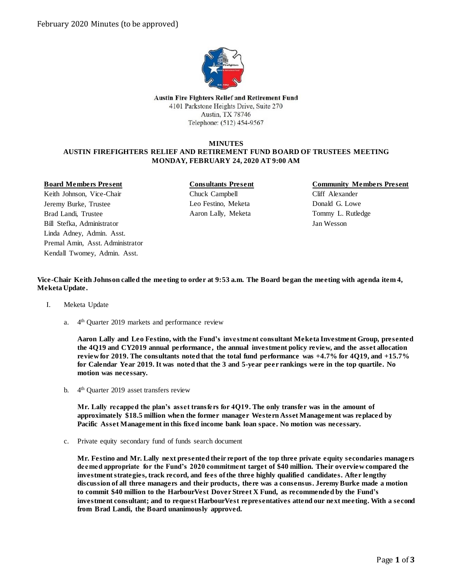

**Austin Fire Fighters Relief and Retirement Fund** 4101 Parkstone Heights Drive, Suite 270 Austin, TX 78746 Telephone: (512) 454-9567

# **MINUTES AUSTIN FIREFIGHTERS RELIEF AND RETIREMENT FUND BOARD OF TRUSTEES MEETING MONDAY, FEBRUARY 24, 2020 AT 9:00 AM**

# **Board Members Present**

Keith Johnson, Vice-Chair Jeremy Burke, Trustee Brad Landi, Trustee Bill Stefka, Administrator Linda Adney, Admin. Asst. Premal Amin, Asst. Administrator Kendall Twomey, Admin. Asst.

**Consultants Present** Chuck Campbell Leo Festino, Meketa Aaron Lally, Meketa

# **Community Members Present**

Cliff Alexander Donald G. Lowe Tommy L. Rutledge Jan Wesson

**Vice-Chair Keith Johnson called the meeting to order at 9:53 a.m. The Board began the meeting with agenda item 4, Meketa Update.**

- I. Meketa Update
	- a. 4<sup>th</sup> Quarter 2019 markets and performance review

**Aaron Lally and Leo Festino, with the Fund's investment consultant Meketa Investment Group, presented the 4Q19 and CY2019 annual performance , the annual investment policy review, and the asset allocation review for 2019. The consultants noted that the total fund performance was +4.7% for 4Q19, and +15.7% for Calendar Year 2019. It was noted that the 3 and 5-year peer rankings were in the top quartile. No motion was necessary.**

b. 4<sup>th</sup> Quarter 2019 asset transfers review

**Mr. Lally recapped the plan's asset transfers for 4Q19. The only transfer was in the amount of approximately \$18.5 million when the former manager Western Asset Management was replaced by Pacific Asset Management in this fixed income bank loan space. No motion was necessary.**

c. Private equity secondary fund of funds search document

**Mr. Festino and Mr. Lally next presented their report of the top three private equity secondaries managers deemed appropriate for the Fund's 2020 commitment target of \$40 million. Their overview compared the investment strategies, track record, and fees ofthe three highly qualified candidates. After lengthy discussion of all three managers and their products, there was a consensus. Jeremy Burke made a motion to commit \$40 million to the HarbourVest Dover Street X Fund, as recommended by the Fund's investment consultant; and to request HarbourVest representatives attend our next meeting. With a second from Brad Landi, the Board unanimously approved.**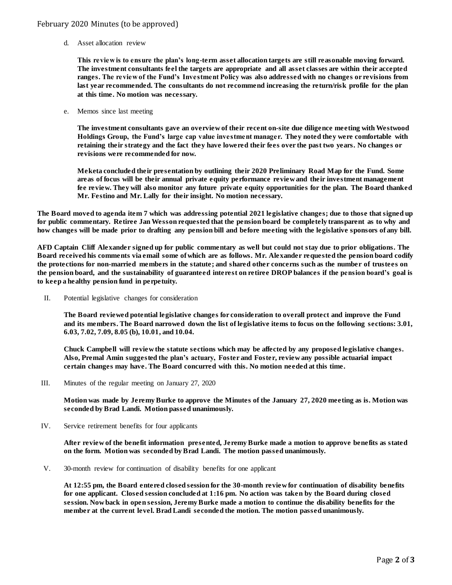# February 2020 Minutes (to be approved)

d. Asset allocation review

**This review is to ensure the plan's long-term asset allocation targets are still reasonable moving forward. The investment consultants feel the targets are appropriate and all asset classes are within their accepted ranges. The review of the Fund's Investment Policy was also addressed with no changes or revisions from last year recommended. The consultants do not recommend increasing the return/risk profile for the plan at this time. No motion was necessary.**

e. Memos since last meeting

**The investment consultants gave an overview of their recent on-site due diligence meeting with Westwood Holdings Group, the Fund's large cap value investment manager. They noted they were comfortable with retaining their strategy and the fact they have lowered their fees over the past two years. No changes or revisions were recommended for now.**

**Meketa concluded their presentation by outlining their 2020 Preliminary Road Map for the Fund. Some areas of focus will be their annual private equity performance review and their investment management fee review. They will also monitor any future private equity opportunities for the plan. The Board thanked Mr. Festino and Mr. Lally for their insight. No motion necessary.** 

**The Board moved to agenda item 7 which was addressing potential 2021 legislative changes; due to those that signed up for public commentary. Retiree Jan Wesson requested that the pension board be completely transparent as to why and how changes will be made prior to drafting any pension bill and before meeting with the legislative sponsors of any bill.** 

**AFD Captain Cliff Alexander signed up for public commentary as well but could not stay due to prior obligations. The Board received his comments via email some of which are as follows. Mr. Alexander requested the pension board codify the protections for non-married members in the statute; and shared other concerns such as the number of trustees on the pension board, and the sustainability of guaranteed interest on retiree DROP balances if the pension board's goal is to keep a healthy pension fund in perpetuity.** 

II. Potential legislative changes for consideration

**The Board reviewed potential legislative changes for consideration to overall protect and improve the Fund and its members. The Board narrowed down the list of legislative items to focus on the following sections: 3.01, 6.03, 7.02, 7.09, 8.05 (b), 10.01, and 10.04.** 

**Chuck Campbell will review the statute sections which may be affected by any proposed legislative changes. Also, Premal Amin suggested the plan's actuary, Foster and Foster, review any possible actuarial impact certain changes may have. The Board concurred with this. No motion needed at this time.**

III. Minutes of the regular meeting on January 27, 2020

**Motion was made by Jeremy Burke to approve the Minutes of the January 27, 2020 meeting as is. Motion was seconded by Brad Landi. Motion passed unanimously.**

IV. Service retirement benefits for four applicants

**After review of the benefit information presented, Jeremy Burke made a motion to approve benefits as stated on the form. Motion was seconded by Brad Landi. The motion passed unanimously.**

V. 30-month review for continuation of disability benefits for one applicant

**At 12:55 pm, the Board entered closed session for the 30-month review for continuation of disability benefits for one applicant. Closed session concluded at 1:16 pm. No action was taken by the Board during closed session. Now back in open session, Jeremy Burke made a motion to continue the disability benefits for the member at the current level. Brad Landi seconded the motion. The motion passed unanimously.**